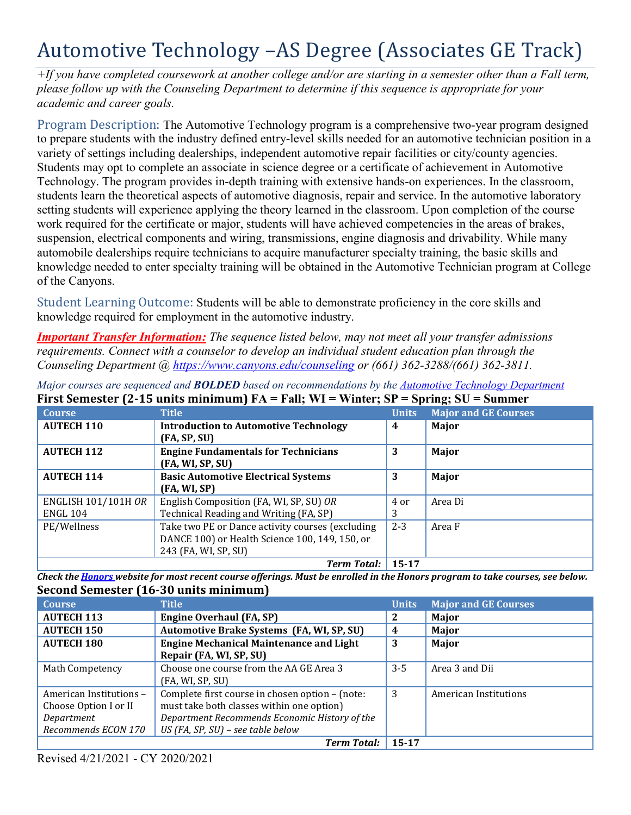# Automotive Technology –AS Degree (Associates GE Track)

*+If you have completed coursework at another college and/or are starting in a semester other than a Fall term, please follow up with the Counseling Department to determine if this sequence is appropriate for your academic and career goals.* 

 variety of settings including dealerships, independent automotive repair facilities or city/county agencies. Program Description: The Automotive Technology program is a comprehensive two-year program designed to prepare students with the industry defined entry-level skills needed for an automotive technician position in a Students may opt to complete an associate in science degree or a certificate of achievement in Automotive Technology. The program provides in-depth training with extensive hands-on experiences. In the classroom, students learn the theoretical aspects of automotive diagnosis, repair and service. In the automotive laboratory setting students will experience applying the theory learned in the classroom. Upon completion of the course work required for the certificate or major, students will have achieved competencies in the areas of brakes, suspension, electrical components and wiring, transmissions, engine diagnosis and drivability. While many automobile dealerships require technicians to acquire manufacturer specialty training, the basic skills and knowledge needed to enter specialty training will be obtained in the Automotive Technician program at College of the Canyons.

Student Learning Outcome: Students will be able to demonstrate proficiency in the core skills and knowledge required for employment in the automotive industry.

*Important Transfer Information: The sequence listed below, may not meet all your transfer admissions requirements. Connect with a counselor to develop an individual student education plan through the Counseling Department @ <https://www.canyons.edu/counseling> or (661) 362-3288/(661) 362-3811.* 

| <b>Course</b>              | <b>Title</b>                                     | <b>Units</b> | <b>Major and GE Courses</b> |
|----------------------------|--------------------------------------------------|--------------|-----------------------------|
| <b>AUTECH 110</b>          | <b>Introduction to Automotive Technology</b>     | 4            | Major                       |
|                            | (FA, SP, SU)                                     |              |                             |
| <b>AUTECH 112</b>          | <b>Engine Fundamentals for Technicians</b>       | 3            | Major                       |
|                            | (FA, WI, SP, SU)                                 |              |                             |
| <b>AUTECH 114</b>          | <b>Basic Automotive Electrical Systems</b>       | 3            | Major                       |
|                            | (FA, WI, SP)                                     |              |                             |
| <b>ENGLISH 101/101H OR</b> | English Composition (FA, WI, SP, SU) OR          | 4 or         | Area Di                     |
| <b>ENGL 104</b>            | Technical Reading and Writing (FA, SP)           | 3            |                             |
| PE/Wellness                | Take two PE or Dance activity courses (excluding | $2 - 3$      | Area F                      |
|                            | DANCE 100) or Health Science 100, 149, 150, or   |              |                             |
|                            | 243 (FA, WI, SP, SU)                             |              |                             |
|                            | Term Total: 15-17                                |              |                             |

 **First Semester (2-15 units minimum) FA = Fall; WI = Winter; SP = Spring; SU = Summer**  *Major courses are sequenced and BOLDED based on recommendations by the Automotive Technology Department* 

 **Second Semester (16-30 units minimum)**  *Check the Honors website for most recent course offerings. Must be enrolled in the Honors program to take courses, see below.* 

| <b>Course</b>           | <b>Title</b>                                    | <b>Units</b> | <b>Major and GE Courses</b> |
|-------------------------|-------------------------------------------------|--------------|-----------------------------|
| <b>AUTECH 113</b>       | <b>Engine Overhaul (FA, SP)</b>                 | 2            | Major                       |
| <b>AUTECH 150</b>       | Automotive Brake Systems (FA, WI, SP, SU)       | 4            | Major                       |
| <b>AUTECH 180</b>       | <b>Engine Mechanical Maintenance and Light</b>  | 3            | Major                       |
|                         | Repair (FA, WI, SP, SU)                         |              |                             |
| Math Competency         | Choose one course from the AA GE Area 3         | $3 - 5$      | Area 3 and Dii              |
|                         | (FA, WI, SP, SU)                                |              |                             |
| American Institutions - | Complete first course in chosen option - (note: | 3            | American Institutions       |
| Choose Option I or II   | must take both classes within one option)       |              |                             |
| Department              | Department Recommends Economic History of the   |              |                             |
| Recommends ECON 170     | $US$ (FA, SP, SU) – see table below             |              |                             |
|                         | <b>Term Total:</b>                              | 15-17        |                             |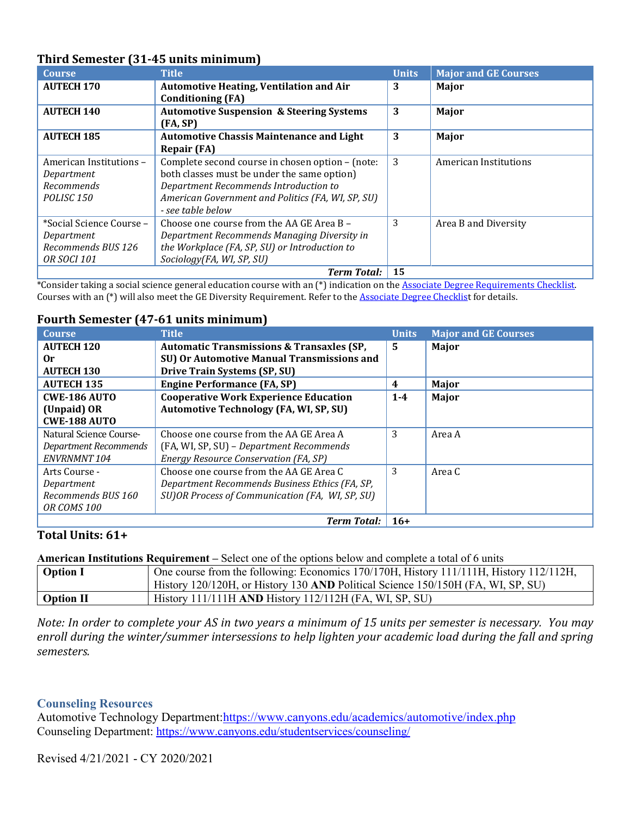| 1 MH & DCMCDCCI (D.1) TO MMCD MMMMMMM |                                                     |              |                             |
|---------------------------------------|-----------------------------------------------------|--------------|-----------------------------|
| <b>Course</b>                         | <b>Title</b>                                        | <b>Units</b> | <b>Major and GE Courses</b> |
| <b>AUTECH 170</b>                     | <b>Automotive Heating, Ventilation and Air</b>      | 3            | Major                       |
|                                       | <b>Conditioning (FA)</b>                            |              |                             |
| <b>AUTECH 140</b>                     | <b>Automotive Suspension &amp; Steering Systems</b> | 3            | Major                       |
|                                       | (FA, SP)                                            |              |                             |
| <b>AUTECH 185</b>                     | <b>Automotive Chassis Maintenance and Light</b>     | 3            | Major                       |
|                                       | <b>Repair (FA)</b>                                  |              |                             |
| American Institutions -               | Complete second course in chosen option - (note:    | 3            | American Institutions       |
| Department                            | both classes must be under the same option)         |              |                             |
| <b>Recommends</b>                     | Department Recommends Introduction to               |              |                             |
| POLISC <sub>150</sub>                 | American Government and Politics (FA, WI, SP, SU)   |              |                             |
|                                       | - see table below                                   |              |                             |
| *Social Science Course –              | Choose one course from the AA GE Area B -           | 3            | Area B and Diversity        |
| Department                            | Department Recommends Managing Diversity in         |              |                             |
| Recommends BUS 126                    | the Workplace (FA, SP, SU) or Introduction to       |              |                             |
| <i>OR SOCI 101</i>                    | Sociology(FA, WI, SP, SU)                           |              |                             |
|                                       | <b>Term Total:</b>                                  | 15           |                             |

## **Third Semester (31-45 units minimum)**

 Courses with an (\*) will also meet the GE Diversity Requirement. Refer to the Associate Degree Checklist for details. \*Consider taking a social science general education course with an (\*) indication on the Associate Degree Requirements Checklist.

## **Fourth Semester (47-61 units minimum)**

| <b>Course</b>           | <b>Title</b>                                         | <b>Units</b> | <b>Major and GE Courses</b> |
|-------------------------|------------------------------------------------------|--------------|-----------------------------|
| <b>AUTECH 120</b>       | <b>Automatic Transmissions &amp; Transaxles (SP,</b> | 5            | Major                       |
| 0r                      | SU) Or Automotive Manual Transmissions and           |              |                             |
| <b>AUTECH 130</b>       | Drive Train Systems (SP, SU)                         |              |                             |
| <b>AUTECH 135</b>       | <b>Engine Performance (FA, SP)</b>                   | 4            | Major                       |
| <b>CWE-186 AUTO</b>     | <b>Cooperative Work Experience Education</b>         | $1 - 4$      | Major                       |
| (Unpaid) OR             | <b>Automotive Technology (FA, WI, SP, SU)</b>        |              |                             |
| <b>CWE-188 AUTO</b>     |                                                      |              |                             |
| Natural Science Course- | Choose one course from the AA GE Area A              | 3            | Area A                      |
| Department Recommends   | (FA, WI, SP, SU) - Department Recommends             |              |                             |
| <b>ENVRNMNT 104</b>     | Energy Resource Conservation (FA, SP)                |              |                             |
| Arts Course -           | Choose one course from the AA GE Area C              | 3            | Area C                      |
| Department              | Department Recommends Business Ethics (FA, SP,       |              |                             |
| Recommends BUS 160      | SU) OR Process of Communication (FA, WI, SP, SU)     |              |                             |
| OR COMS 100             |                                                      |              |                             |
|                         | <b>Term Total:</b>                                   | $16+$        |                             |

## **Total Units: 61+**

**American Institutions Requirement –** Select one of the options below and complete a total of 6 units

| <b>Option I</b>  | One course from the following: Economics 170/170H, History 111/11H, History 112/112H,<br>History 120/120H, or History 130 AND Political Science 150/150H (FA, WI, SP, SU) |
|------------------|---------------------------------------------------------------------------------------------------------------------------------------------------------------------------|
| <b>Option II</b> | History 111/111H AND History 112/112H (FA, WI, SP, SU)                                                                                                                    |

*Note: In order to complete your AS in two years a minimum of 15 units per semester is necessary. You may enroll during the winter/summer intersessions to help lighten your academic load during the fall and spring semesters.* 

#### **Counseling Resources**

Counseling Department: <https://www.canyons.edu/studentservices/counseling>/ Automotive Technology [Department:https://www.canyons.edu/academics/automotive/index.php](https://Department:https://www.canyons.edu/academics/automotive/index.php)